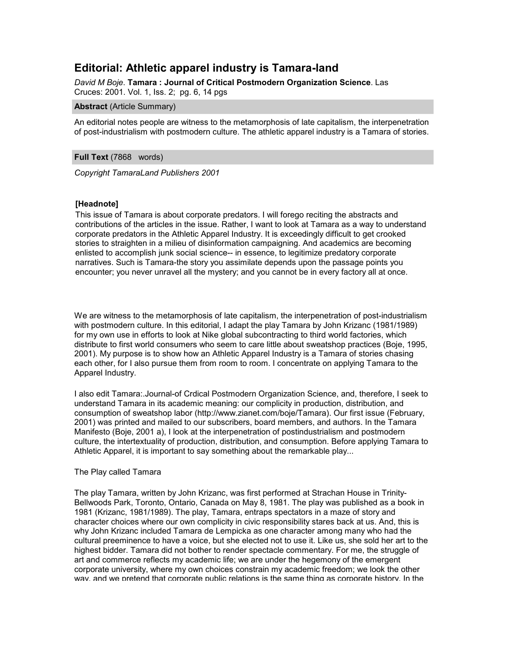# **Editorial: Athletic apparel industry is Tamara-land**

*David M Boje*. **Tamara : Journal of Critical Postmodern Organization Science**. Las Cruces: 2001. Vol. 1, Iss. 2; pg. 6, 14 pgs

**Abstract** (Article Summary)

An editorial notes people are witness to the metamorphosis of late capitalism, the interpenetration of post-industrialism with postmodern culture. The athletic apparel industry is a Tamara of stories.

**Full Text** (7868 words)

*Copyright TamaraLand Publishers 2001*

# **[Headnote]**

This issue of Tamara is about corporate predators. I will forego reciting the abstracts and contributions of the articles in the issue. Rather, I want to look at Tamara as a way to understand corporate predators in the Athletic Apparel Industry. It is exceedingly difficult to get crooked stories to straighten in a milieu of disinformation campaigning. And academics are becoming enlisted to accomplish junk social science-- in essence, to legitimize predatory corporate narratives. Such is Tamara-the story you assimilate depends upon the passage points you encounter; you never unravel all the mystery; and you cannot be in every factory all at once.

We are witness to the metamorphosis of late capitalism, the interpenetration of post-industrialism with postmodern culture. In this editorial, I adapt the play Tamara by John Krizanc (1981/1989) for my own use in efforts to look at Nike global subcontracting to third world factories, which distribute to first world consumers who seem to care little about sweatshop practices (Boje, 1995, 2001). My purpose is to show how an Athletic Apparel Industry is a Tamara of stories chasing each other, for I also pursue them from room to room. I concentrate on applying Tamara to the Apparel Industry.

I also edit Tamara:.Journal-of Crdical Postmodern Organization Science, and, therefore, I seek to understand Tamara in its academic meaning: our complicity in production, distribution, and consumption of sweatshop labor (http://www.zianet.com/boje/Tamara). Our first issue (February, 2001) was printed and mailed to our subscribers, board members, and authors. In the Tamara Manifesto (Boje, 2001 a), I look at the interpenetration of postindustrialism and postmodern culture, the intertextuality of production, distribution, and consumption. Before applying Tamara to Athletic Apparel, it is important to say something about the remarkable play...

#### The Play called Tamara

The play Tamara, written by John Krizanc, was first performed at Strachan House in Trinity-Bellwoods Park, Toronto, Ontario, Canada on May 8, 1981. The play was published as a book in 1981 (Krizanc, 1981/1989). The play, Tamara, entraps spectators in a maze of story and character choices where our own complicity in civic responsibility stares back at us. And, this is why John Krizanc included Tamara de Lempicka as one character among many who had the cultural preeminence to have a voice, but she elected not to use it. Like us, she sold her art to the highest bidder. Tamara did not bother to render spectacle commentary. For me, the struggle of art and commerce reflects my academic life; we are under the hegemony of the emergent corporate university, where my own choices constrain my academic freedom; we look the other way, and we pretend that corporate public relations is the same thing as corporate history. In the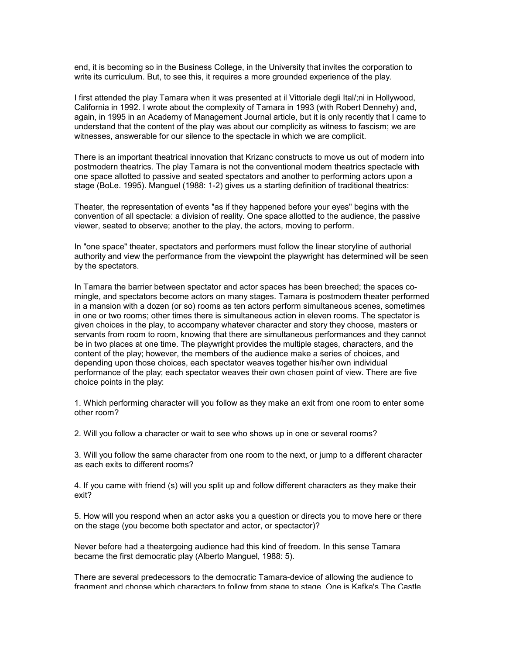end, it is becoming so in the Business College, in the University that invites the corporation to write its curriculum. But, to see this, it requires a more grounded experience of the play.

I first attended the play Tamara when it was presented at il Vittoriale degli Ital/;ni in Hollywood, California in 1992. I wrote about the complexity of Tamara in 1993 (with Robert Dennehy) and, again, in 1995 in an Academy of Management Journal article, but it is only recently that I came to understand that the content of the play was about our complicity as witness to fascism; we are witnesses, answerable for our silence to the spectacle in which we are complicit.

There is an important theatrical innovation that Krizanc constructs to move us out of modern into postmodern theatrics. The play Tamara is not the conventional modem theatrics spectacle with one space allotted to passive and seated spectators and another to performing actors upon a stage (BoLe. 1995). Manguel (1988: 1-2) gives us a starting definition of traditional theatrics:

Theater, the representation of events "as if they happened before your eyes" begins with the convention of all spectacle: a division of reality. One space allotted to the audience, the passive viewer, seated to observe; another to the play, the actors, moving to perform.

In "one space" theater, spectators and performers must follow the linear storyline of authorial authority and view the performance from the viewpoint the playwright has determined will be seen by the spectators.

In Tamara the barrier between spectator and actor spaces has been breeched; the spaces comingle, and spectators become actors on many stages. Tamara is postmodern theater performed in a mansion with a dozen (or so) rooms as ten actors perform simultaneous scenes, sometimes in one or two rooms; other times there is simultaneous action in eleven rooms. The spectator is given choices in the play, to accompany whatever character and story they choose, masters or servants from room to room, knowing that there are simultaneous performances and they cannot be in two places at one time. The playwright provides the multiple stages, characters, and the content of the play; however, the members of the audience make a series of choices, and depending upon those choices, each spectator weaves together his/her own individual performance of the play; each spectator weaves their own chosen point of view. There are five choice points in the play:

1. Which performing character will you follow as they make an exit from one room to enter some other room?

2. Will you follow a character or wait to see who shows up in one or several rooms?

3. Will you follow the same character from one room to the next, or jump to a different character as each exits to different rooms?

4. If you came with friend (s) will you split up and follow different characters as they make their exit?

5. How will you respond when an actor asks you a question or directs you to move here or there on the stage (you become both spectator and actor, or spectactor)?

Never before had a theatergoing audience had this kind of freedom. In this sense Tamara became the first democratic play (Alberto Manguel, 1988: 5).

There are several predecessors to the democratic Tamara-device of allowing the audience to fragment and choose which characters to follow from stage to stage. One is Kafka's The Castle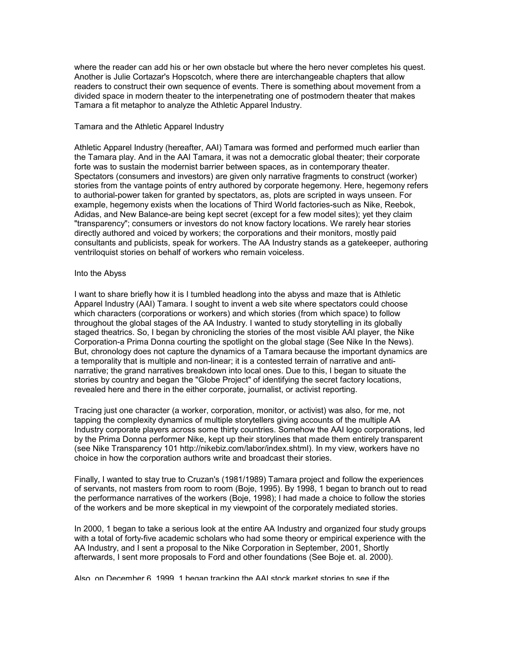where the reader can add his or her own obstacle but where the hero never completes his quest. Another is Julie Cortazar's Hopscotch, where there are interchangeable chapters that allow readers to construct their own sequence of events. There is something about movement from a divided space in modern theater to the interpenetrating one of postmodern theater that makes Tamara a fit metaphor to analyze the Athletic Apparel Industry.

### Tamara and the Athletic Apparel Industry

Athletic Apparel Industry (hereafter, AAI) Tamara was formed and performed much earlier than the Tamara play. And in the AAI Tamara, it was not a democratic global theater; their corporate forte was to sustain the modernist barrier between spaces, as in contemporary theater. Spectators (consumers and investors) are given only narrative fragments to construct (worker) stories from the vantage points of entry authored by corporate hegemony. Here, hegemony refers to authorial-power taken for granted by spectators, as, plots are scripted in ways unseen. For example, hegemony exists when the locations of Third World factories-such as Nike, Reebok, Adidas, and New Balance-are being kept secret (except for a few model sites); yet they claim "transparency"; consumers or investors do not know factory locations. We rarely hear stories directly authored and voiced by workers; the corporations and their monitors, mostly paid consultants and publicists, speak for workers. The AA Industry stands as a gatekeeper, authoring ventriloquist stories on behalf of workers who remain voiceless.

# Into the Abyss

I want to share briefly how it is I tumbled headlong into the abyss and maze that is Athletic Apparel Industry (AAI) Tamara. I sought to invent a web site where spectators could choose which characters (corporations or workers) and which stories (from which space) to follow throughout the global stages of the AA Industry. I wanted to study storytelling in its globally staged theatrics. So, I began by chronicling the stories of the most visible AAI player, the Nike Corporation-a Prima Donna courting the spotlight on the global stage (See Nike In the News). But, chronology does not capture the dynamics of a Tamara because the important dynamics are a temporality that is multiple and non-linear; it is a contested terrain of narrative and antinarrative; the grand narratives breakdown into local ones. Due to this, I began to situate the stories by country and began the "Globe Project" of identifying the secret factory locations, revealed here and there in the either corporate, journalist, or activist reporting.

Tracing just one character (a worker, corporation, monitor, or activist) was also, for me, not tapping the complexity dynamics of multiple storytellers giving accounts of the multiple AA Industry corporate players across some thirty countries. Somehow the AAI logo corporations, led by the Prima Donna performer Nike, kept up their storylines that made them entirely transparent (see Nike Transparency 101 http://nikebiz.com/labor/index.shtml). In my view, workers have no choice in how the corporation authors write and broadcast their stories.

Finally, I wanted to stay true to Cruzan's (1981/1989) Tamara project and follow the experiences of servants, not masters from room to room (Boje, 1995). By 1998, 1 began to branch out to read the performance narratives of the workers (Boje, 1998); I had made a choice to follow the stories of the workers and be more skeptical in my viewpoint of the corporately mediated stories.

In 2000, 1 began to take a serious look at the entire AA Industry and organized four study groups with a total of forty-five academic scholars who had some theory or empirical experience with the AA Industry, and I sent a proposal to the Nike Corporation in September, 2001, Shortly afterwards, I sent more proposals to Ford and other foundations (See Boje et. al. 2000).

Also, on December 6, 1999, 1 began tracking the AAI stock market stories to see if the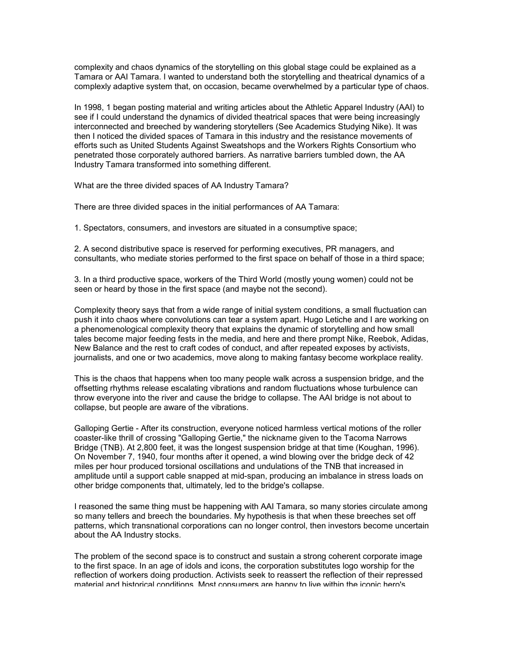complexity and chaos dynamics of the storytelling on this global stage could be explained as a Tamara or AAI Tamara. I wanted to understand both the storytelling and theatrical dynamics of a complexly adaptive system that, on occasion, became overwhelmed by a particular type of chaos.

In 1998, 1 began posting material and writing articles about the Athletic Apparel Industry (AAI) to see if I could understand the dynamics of divided theatrical spaces that were being increasingly interconnected and breeched by wandering storytellers (See Academics Studying Nike). It was then I noticed the divided spaces of Tamara in this industry and the resistance movements of efforts such as United Students Against Sweatshops and the Workers Rights Consortium who penetrated those corporately authored barriers. As narrative barriers tumbled down, the AA Industry Tamara transformed into something different.

What are the three divided spaces of AA Industry Tamara?

There are three divided spaces in the initial performances of AA Tamara:

1. Spectators, consumers, and investors are situated in a consumptive space;

2. A second distributive space is reserved for performing executives, PR managers, and consultants, who mediate stories performed to the first space on behalf of those in a third space;

3. In a third productive space, workers of the Third World (mostly young women) could not be seen or heard by those in the first space (and maybe not the second).

Complexity theory says that from a wide range of initial system conditions, a small fluctuation can push it into chaos where convolutions can tear a system apart. Hugo Letiche and I are working on a phenomenological complexity theory that explains the dynamic of storytelling and how small tales become major feeding fests in the media, and here and there prompt Nike, Reebok, Adidas, New Balance and the rest to craft codes of conduct, and after repeated exposes by activists, journalists, and one or two academics, move along to making fantasy become workplace reality.

This is the chaos that happens when too many people walk across a suspension bridge, and the offsetting rhythms release escalating vibrations and random fluctuations whose turbulence can throw everyone into the river and cause the bridge to collapse. The AAI bridge is not about to collapse, but people are aware of the vibrations.

Galloping Gertie - After its construction, everyone noticed harmless vertical motions of the roller coaster-like thrill of crossing "Galloping Gertie," the nickname given to the Tacoma Narrows Bridge (TNB). At 2,800 feet, it was the longest suspension bridge at that time (Koughan, 1996). On November 7, 1940, four months after it opened, a wind blowing over the bridge deck of 42 miles per hour produced torsional oscillations and undulations of the TNB that increased in amplitude until a support cable snapped at mid-span, producing an imbalance in stress loads on other bridge components that, ultimately, led to the bridge's collapse.

I reasoned the same thing must be happening with AAI Tamara, so many stories circulate among so many tellers and breech the boundaries. My hypothesis is that when these breeches set off patterns, which transnational corporations can no longer control, then investors become uncertain about the AA Industry stocks.

The problem of the second space is to construct and sustain a strong coherent corporate image to the first space. In an age of idols and icons, the corporation substitutes logo worship for the reflection of workers doing production. Activists seek to reassert the reflection of their repressed material and historical conditions. Most consumers are happy to live within the iconic hero's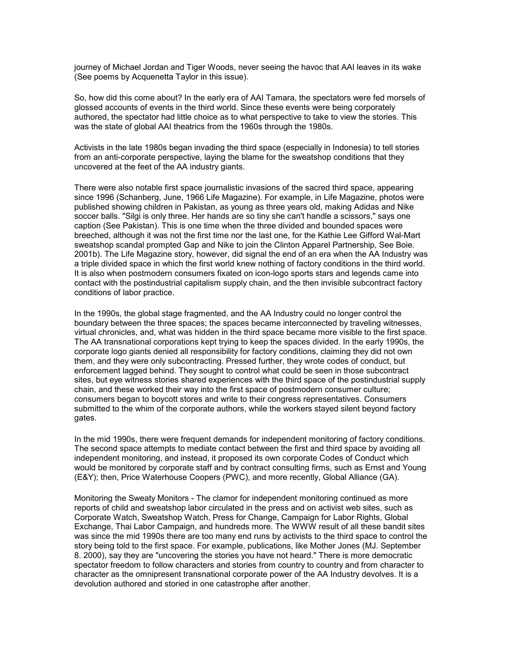journey of Michael Jordan and Tiger Woods, never seeing the havoc that AAI leaves in its wake (See poems by Acquenetta Taylor in this issue).

So, how did this come about? In the early era of AAI Tamara, the spectators were fed morsels of glossed accounts of events in the third world. Since these events were being corporately authored, the spectator had little choice as to what perspective to take to view the stories. This was the state of global AAI theatrics from the 1960s through the 1980s.

Activists in the late 1980s began invading the third space (especially in Indonesia) to tell stories from an anti-corporate perspective, laying the blame for the sweatshop conditions that they uncovered at the feet of the AA industry giants.

There were also notable first space journalistic invasions of the sacred third space, appearing since 1996 (Schanberg, June, 1966 Life Magazine). For example, in Life Magazine, photos were published showing children in Pakistan, as young as three years old, making Adidas and Nike soccer balls. "Silgi is only three. Her hands are so tiny she can't handle a scissors," says one caption (See Pakistan). This is one time when the three divided and bounded spaces were breeched, although it was not the first time nor the last one, for the Kathie Lee Gifford Wal-Mart sweatshop scandal prompted Gap and Nike to join the Clinton Apparel Partnership, See Boie. 2001b). The Life Magazine story, however, did signal the end of an era when the AA Industry was a triple divided space in which the first world knew nothing of factory conditions in the third world. It is also when postmodern consumers fixated on icon-logo sports stars and legends came into contact with the postindustrial capitalism supply chain, and the then invisible subcontract factory conditions of labor practice.

In the 1990s, the global stage fragmented, and the AA Industry could no longer control the boundary between the three spaces; the spaces became interconnected by traveling witnesses, virtual chronicles, and, what was hidden in the third space became more visible to the first space. The AA transnational corporations kept trying to keep the spaces divided. In the early 1990s, the corporate logo giants denied all responsibility for factory conditions, claiming they did not own them, and they were only subcontracting. Pressed further, they wrote codes of conduct, but enforcement lagged behind. They sought to control what could be seen in those subcontract sites, but eye witness stories shared experiences with the third space of the postindustrial supply chain, and these worked their way into the first space of postmodern consumer culture; consumers began to boycott stores and write to their congress representatives. Consumers submitted to the whim of the corporate authors, while the workers stayed silent beyond factory gates.

In the mid 1990s, there were frequent demands for independent monitoring of factory conditions. The second space attempts to mediate contact between the first and third space by avoiding all independent monitoring, and instead, it proposed its own corporate Codes of Conduct which would be monitored by corporate staff and by contract consulting firms, such as Ernst and Young (E&Y); then, Price Waterhouse Coopers (PWC), and more recently, Global Alliance (GA).

Monitoring the Sweaty Monitors - The clamor for independent monitoring continued as more reports of child and sweatshop labor circulated in the press and on activist web sites, such as Corporate Watch, Sweatshop Watch, Press for Change, Campaign for Labor Rights, Global Exchange, Thai Labor Campaign, and hundreds more. The WWW result of all these bandit sites was since the mid 1990s there are too many end runs by activists to the third space to control the story being told to the first space. For example, publications, like Mother Jones (MJ. September 8. 2000), say they are "uncovering the stories you have not heard." There is more democratic spectator freedom to follow characters and stories from country to country and from character to character as the omnipresent transnational corporate power of the AA Industry devolves. It is a devolution authored and storied in one catastrophe after another.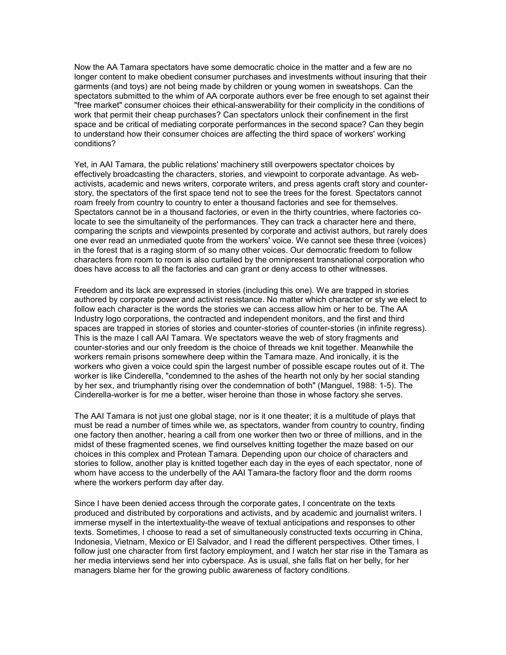Now the AA Tamara spectators have some democratic choice in the matter and a few are no longer content to make obedient consumer purchases and investments without insuring that their garments (and toys) are not being made by children or young women in sweatshops. Can the spectators submitted to the whim of AA corporate authors ever be free enough to set against their "free market" consumer choices their ethical-answerability for their complicity in the conditions of work that permit their cheap purchases? Can spectators unlock their confinement in the first space and be critical of mediating corporate performances in the second space? Can they begin to understand how their consumer choices are affecting the third space of workers' working conditions?

Yet, in AAI Tamara, the public relations' machinery still overpowers spectator choices by effectively broadcasting the characters, stories, and viewpoint to corporate advantage. As webactivists, academic and news writers, corporate writers, and press agents craft story and counterstory, the spectators of the first space tend not to see the trees for the forest. Spectators cannot roam freely from country to country to enter a thousand factories and see for themselves. Spectators cannot be in a thousand factories, or even in the thirty countries, where factories colocate to see the simultaneity of the performances. They can track a character here and there, comparing the scripts and viewpoints presented by corporate and activist authors, but rarely does one ever read an unmediated quote from the workers' voice. We cannot see these three (voices) in the forest that is a raging storm of so many other voices. Our democratic freedom to follow characters from room to room is also curtailed by the omnipresent transnational corporation who does have access to all the factories and can grant or deny access to other witnesses.

Freedom and its lack are expressed in stories (including this one). We are trapped in stories authored by corporate power and activist resistance. No matter which character or sty we elect to follow each character is the words the stories we can access allow him or her to be. The AA Industry logo corporations, the contracted and independent monitors, and the first and third spaces are trapped in stories of stories and counter-stories of counter-stories (in infinite regress). This is the maze I call AAI Tamara. We spectators weave the web of story fragments and counter-stories and our only freedom is the choice of threads we knit together. Meanwhile the workers remain prisons somewhere deep within the Tamara maze. And ironically, it is the workers who given a voice could spin the largest number of possible escape routes out of it. The worker is like Cinderella, "condemned to the ashes of the hearth not only by her social standing by her sex, and triumphantly rising over the condemnation of both" (Manguel, 1988: 1-5). The Cinderella-worker is for me a better, wiser heroine than those in whose factory she serves.

The AAI Tamara is not just one global stage, nor is it one theater; it is a multitude of plays that must be read a number of times while we, as spectators, wander from country to country, finding one factory then another, hearing a call from one worker then two or three of millions, and in the midst of these fragmented scenes, we find ourselves knitting together the maze based on our choices in this complex and Protean Tamara. Depending upon our choice of characters and stories to follow, another play is knitted together each day in the eyes of each spectator, none of whom have access to the underbelly of the AAI Tamara-the factory floor and the dorm rooms where the workers perform day after day.

Since I have been denied access through the corporate gates, I concentrate on the texts produced and distributed by corporations and activists, and by academic and journalist writers. I immerse myself in the intertextuality-the weave of textual anticipations and responses to other texts. Sometimes, I choose to read a set of simultaneously constructed texts occurring in China, Indonesia, Vietnam, Mexico or El Salvador, and I read the different perspectives. Other times, I follow just one character from first factory employment, and I watch her star rise in the Tamara as her media interviews send her into cyberspace. As is usual, she falls flat on her belly, for her managers blame her for the growing public awareness of factory conditions.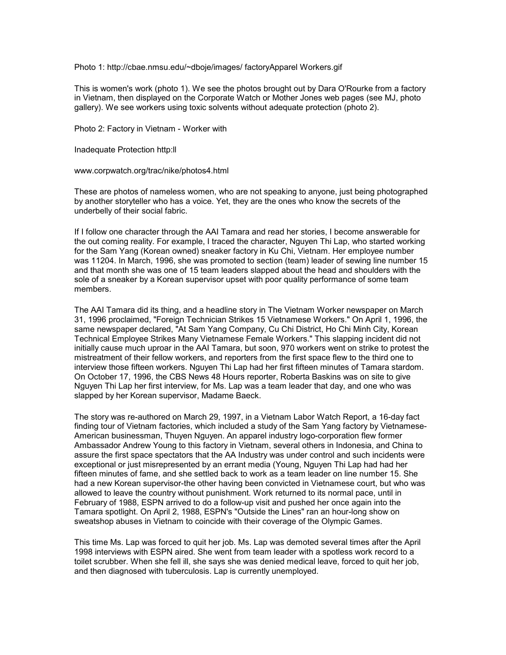Photo 1: http://cbae.nmsu.edu/~dboje/images/ factoryApparel Workers.gif

This is women's work (photo 1). We see the photos brought out by Dara O'Rourke from a factory in Vietnam, then displayed on the Corporate Watch or Mother Jones web pages (see MJ, photo gallery). We see workers using toxic solvents without adequate protection (photo 2).

Photo 2: Factory in Vietnam - Worker with

Inadequate Protection http:ll

www.corpwatch.org/trac/nike/photos4.html

These are photos of nameless women, who are not speaking to anyone, just being photographed by another storyteller who has a voice. Yet, they are the ones who know the secrets of the underbelly of their social fabric.

If I follow one character through the AAI Tamara and read her stories, I become answerable for the out coming reality. For example, I traced the character, Nguyen Thi Lap, who started working for the Sam Yang (Korean owned) sneaker factory in Ku Chi, Vietnam. Her employee number was 11204. In March, 1996, she was promoted to section (team) leader of sewing line number 15 and that month she was one of 15 team leaders slapped about the head and shoulders with the sole of a sneaker by a Korean supervisor upset with poor quality performance of some team members.

The AAI Tamara did its thing, and a headline story in The Vietnam Worker newspaper on March 31, 1996 proclaimed, "Foreign Technician Strikes 15 Vietnamese Workers." On April 1, 1996, the same newspaper declared, "At Sam Yang Company, Cu Chi District, Ho Chi Minh City, Korean Technical Employee Strikes Many Vietnamese Female Workers." This slapping incident did not initially cause much uproar in the AAI Tamara, but soon, 970 workers went on strike to protest the mistreatment of their fellow workers, and reporters from the first space flew to the third one to interview those fifteen workers. Nguyen Thi Lap had her first fifteen minutes of Tamara stardom. On October 17, 1996, the CBS News 48 Hours reporter, Roberta Baskins was on site to give Nguyen Thi Lap her first interview, for Ms. Lap was a team leader that day, and one who was slapped by her Korean supervisor, Madame Baeck.

The story was re-authored on March 29, 1997, in a Vietnam Labor Watch Report, a 16-day fact finding tour of Vietnam factories, which included a study of the Sam Yang factory by Vietnamese-American businessman, Thuyen Nguyen. An apparel industry logo-corporation flew former Ambassador Andrew Young to this factory in Vietnam, several others in Indonesia, and China to assure the first space spectators that the AA Industry was under control and such incidents were exceptional or just misrepresented by an errant media (Young, Nguyen Thi Lap had had her fifteen minutes of fame, and she settled back to work as a team leader on line number 15. She had a new Korean supervisor-the other having been convicted in Vietnamese court, but who was allowed to leave the country without punishment. Work returned to its normal pace, until in February of 1988, ESPN arrived to do a follow-up visit and pushed her once again into the Tamara spotlight. On April 2, 1988, ESPN's "Outside the Lines" ran an hour-long show on sweatshop abuses in Vietnam to coincide with their coverage of the Olympic Games.

This time Ms. Lap was forced to quit her job. Ms. Lap was demoted several times after the April 1998 interviews with ESPN aired. She went from team leader with a spotless work record to a toilet scrubber. When she fell ill, she says she was denied medical leave, forced to quit her job, and then diagnosed with tuberculosis. Lap is currently unemployed.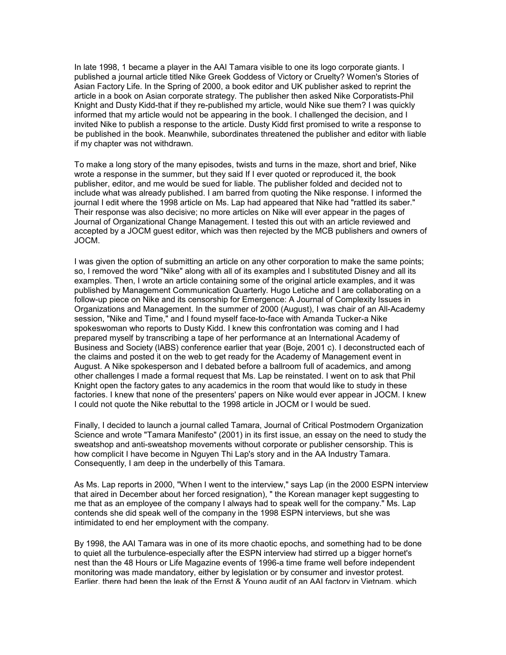In late 1998, 1 became a player in the AAI Tamara visible to one its logo corporate giants. I published a journal article titled Nike Greek Goddess of Victory or Cruelty? Women's Stories of Asian Factory Life. In the Spring of 2000, a book editor and UK publisher asked to reprint the article in a book on Asian corporate strategy. The publisher then asked Nike Corporatists-Phil Knight and Dusty Kidd-that if they re-published my article, would Nike sue them? I was quickly informed that my article would not be appearing in the book. I challenged the decision, and I invited Nike to publish a response to the article. Dusty Kidd first promised to write a response to be published in the book. Meanwhile, subordinates threatened the publisher and editor with liable if my chapter was not withdrawn.

To make a long story of the many episodes, twists and turns in the maze, short and brief, Nike wrote a response in the summer, but they said If I ever quoted or reproduced it, the book publisher, editor, and me would be sued for liable. The publisher folded and decided not to include what was already published. I am barred from quoting the Nike response. I informed the journal I edit where the 1998 article on Ms. Lap had appeared that Nike had "rattled its saber." Their response was also decisive; no more articles on Nike will ever appear in the pages of Journal of Organizational Change Management. I tested this out with an article reviewed and accepted by a JOCM guest editor, which was then rejected by the MCB publishers and owners of JOCM.

I was given the option of submitting an article on any other corporation to make the same points; so, I removed the word "Nike" along with all of its examples and I substituted Disney and all its examples. Then, I wrote an article containing some of the original article examples, and it was published by Management Communication Quarterly. Hugo Letiche and I are collaborating on a follow-up piece on Nike and its censorship for Emergence: A Journal of Complexity Issues in Organizations and Management. In the summer of 2000 (August), I was chair of an All-Academy session, "Nike and Time," and I found myself face-to-face with Amanda Tucker-a Nike spokeswoman who reports to Dusty Kidd. I knew this confrontation was coming and I had prepared myself by transcribing a tape of her performance at an International Academy of Business and Society (lABS) conference earlier that year (Boje, 2001 c). I deconstructed each of the claims and posted it on the web to get ready for the Academy of Management event in August. A Nike spokesperson and I debated before a ballroom full of academics, and among other challenges I made a formal request that Ms. Lap be reinstated. I went on to ask that Phil Knight open the factory gates to any academics in the room that would like to study in these factories. I knew that none of the presenters' papers on Nike would ever appear in JOCM. I knew I could not quote the Nike rebuttal to the 1998 article in JOCM or I would be sued.

Finally, I decided to launch a journal called Tamara, Journal of Critical Postmodern Organization Science and wrote "Tamara Manifesto" (2001) in its first issue, an essay on the need to study the sweatshop and anti-sweatshop movements without corporate or publisher censorship. This is how complicit I have become in Nguyen Thi Lap's story and in the AA Industry Tamara. Consequently, I am deep in the underbelly of this Tamara.

As Ms. Lap reports in 2000, "When I went to the interview," says Lap (in the 2000 ESPN interview that aired in December about her forced resignation), " the Korean manager kept suggesting to me that as an employee of the company I always had to speak well for the company." Ms. Lap contends she did speak well of the company in the 1998 ESPN interviews, but she was intimidated to end her employment with the company.

By 1998, the AAI Tamara was in one of its more chaotic epochs, and something had to be done to quiet all the turbulence-especially after the ESPN interview had stirred up a bigger hornet's nest than the 48 Hours or Life Magazine events of 1996-a time frame well before independent monitoring was made mandatory, either by legislation or by consumer and investor protest. Earlier, there had been the leak of the Ernst & Young audit of an AAI factory in Vietnam, which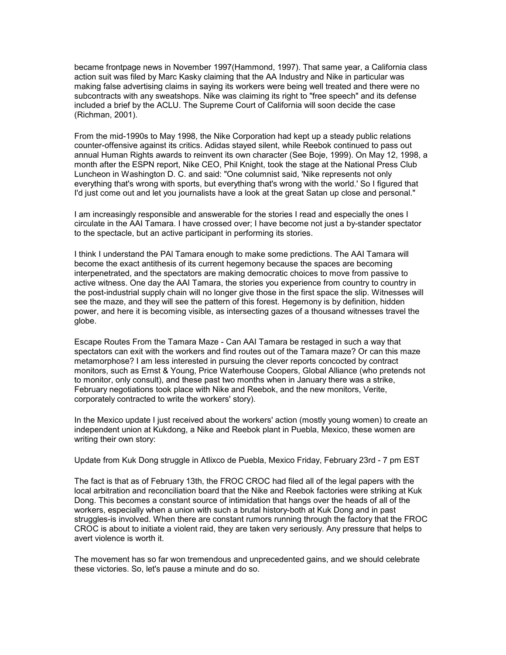became frontpage news in November 1997(Hammond, 1997). That same year, a California class action suit was filed by Marc Kasky claiming that the AA Industry and Nike in particular was making false advertising claims in saying its workers were being well treated and there were no subcontracts with any sweatshops. Nike was claiming its right to "free speech" and its defense included a brief by the ACLU. The Supreme Court of California will soon decide the case (Richman, 2001).

From the mid-1990s to May 1998, the Nike Corporation had kept up a steady public relations counter-offensive against its critics. Adidas stayed silent, while Reebok continued to pass out annual Human Rights awards to reinvent its own character (See Boje, 1999). On May 12, 1998, a month after the ESPN report, Nike CEO, Phil Knight, took the stage at the National Press Club Luncheon in Washington D. C. and said: "One columnist said, 'Nike represents not only everything that's wrong with sports, but everything that's wrong with the world.' So I figured that I'd just come out and let you journalists have a look at the great Satan up close and personal."

I am increasingly responsible and answerable for the stories I read and especially the ones I circulate in the AAI Tamara. I have crossed over; I have become not just a by-stander spectator to the spectacle, but an active participant in performing its stories.

I think I understand the PAl Tamara enough to make some predictions. The AAI Tamara will become the exact antithesis of its current hegemony because the spaces are becoming interpenetrated, and the spectators are making democratic choices to move from passive to active witness. One day the AAI Tamara, the stories you experience from country to country in the post-industrial supply chain will no longer give those in the first space the slip. Witnesses will see the maze, and they will see the pattern of this forest. Hegemony is by definition, hidden power, and here it is becoming visible, as intersecting gazes of a thousand witnesses travel the globe.

Escape Routes From the Tamara Maze - Can AAI Tamara be restaged in such a way that spectators can exit with the workers and find routes out of the Tamara maze? Or can this maze metamorphose? I am less interested in pursuing the clever reports concocted by contract monitors, such as Ernst & Young, Price Waterhouse Coopers, Global Alliance (who pretends not to monitor, only consult), and these past two months when in January there was a strike, February negotiations took place with Nike and Reebok, and the new monitors, Verite, corporately contracted to write the workers' story).

In the Mexico update I just received about the workers' action (mostly young women) to create an independent union at Kukdong, a Nike and Reebok plant in Puebla, Mexico, these women are writing their own story:

Update from Kuk Dong struggle in Atlixco de Puebla, Mexico Friday, February 23rd - 7 pm EST

The fact is that as of February 13th, the FROC CROC had filed all of the legal papers with the local arbitration and reconciliation board that the Nike and Reebok factories were striking at Kuk Dong. This becomes a constant source of intimidation that hangs over the heads of all of the workers, especially when a union with such a brutal history-both at Kuk Dong and in past struggles-is involved. When there are constant rumors running through the factory that the FROC CROC is about to initiate a violent raid, they are taken very seriously. Any pressure that helps to avert violence is worth it.

The movement has so far won tremendous and unprecedented gains, and we should celebrate these victories. So, let's pause a minute and do so.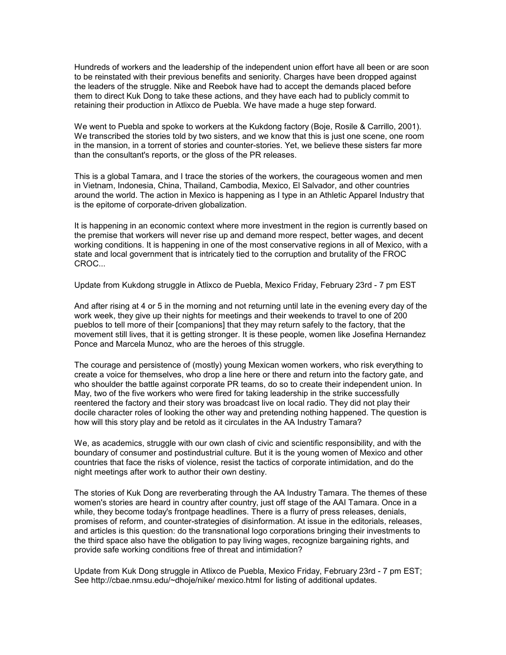Hundreds of workers and the leadership of the independent union effort have all been or are soon to be reinstated with their previous benefits and seniority. Charges have been dropped against the leaders of the struggle. Nike and Reebok have had to accept the demands placed before them to direct Kuk Dong to take these actions, and they have each had to publicly commit to retaining their production in Atlixco de Puebla. We have made a huge step forward.

We went to Puebla and spoke to workers at the Kukdong factory (Boje, Rosile & Carrillo, 2001). We transcribed the stories told by two sisters, and we know that this is just one scene, one room in the mansion, in a torrent of stories and counter-stories. Yet, we believe these sisters far more than the consultant's reports, or the gloss of the PR releases.

This is a global Tamara, and I trace the stories of the workers, the courageous women and men in Vietnam, Indonesia, China, Thailand, Cambodia, Mexico, El Salvador, and other countries around the world. The action in Mexico is happening as I type in an Athletic Apparel Industry that is the epitome of corporate-driven globalization.

It is happening in an economic context where more investment in the region is currently based on the premise that workers will never rise up and demand more respect, better wages, and decent working conditions. It is happening in one of the most conservative regions in all of Mexico, with a state and local government that is intricately tied to the corruption and brutality of the FROC CROC...

Update from Kukdong struggle in Atlixco de Puebla, Mexico Friday, February 23rd - 7 pm EST

And after rising at 4 or 5 in the morning and not returning until late in the evening every day of the work week, they give up their nights for meetings and their weekends to travel to one of 200 pueblos to tell more of their [companions] that they may return safely to the factory, that the movement still lives, that it is getting stronger. It is these people, women like Josefina Hernandez Ponce and Marcela Munoz, who are the heroes of this struggle.

The courage and persistence of (mostly) young Mexican women workers, who risk everything to create a voice for themselves, who drop a line here or there and return into the factory gate, and who shoulder the battle against corporate PR teams, do so to create their independent union. In May, two of the five workers who were fired for taking leadership in the strike successfully reentered the factory and their story was broadcast live on local radio. They did not play their docile character roles of looking the other way and pretending nothing happened. The question is how will this story play and be retold as it circulates in the AA Industry Tamara?

We, as academics, struggle with our own clash of civic and scientific responsibility, and with the boundary of consumer and postindustrial culture. But it is the young women of Mexico and other countries that face the risks of violence, resist the tactics of corporate intimidation, and do the night meetings after work to author their own destiny.

The stories of Kuk Dong are reverberating through the AA Industry Tamara. The themes of these women's stories are heard in country after country, just off stage of the AAI Tamara. Once in a while, they become today's frontpage headlines. There is a flurry of press releases, denials, promises of reform, and counter-strategies of disinformation. At issue in the editorials, releases, and articles is this question: do the transnational logo corporations bringing their investments to the third space also have the obligation to pay living wages, recognize bargaining rights, and provide safe working conditions free of threat and intimidation?

Update from Kuk Dong struggle in Atlixco de Puebla, Mexico Friday, February 23rd - 7 pm EST; See http://cbae.nmsu.edu/~dhoje/nike/ mexico.html for listing of additional updates.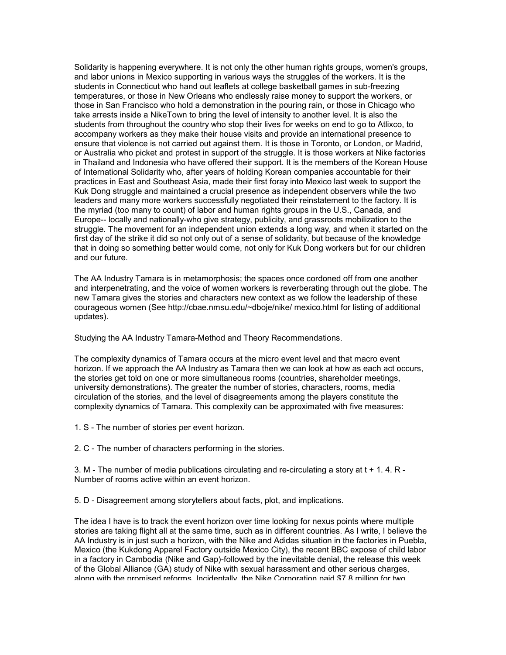Solidarity is happening everywhere. It is not only the other human rights groups, women's groups, and labor unions in Mexico supporting in various ways the struggles of the workers. It is the students in Connecticut who hand out leaflets at college basketball games in sub-freezing temperatures, or those in New Orleans who endlessly raise money to support the workers, or those in San Francisco who hold a demonstration in the pouring rain, or those in Chicago who take arrests inside a NikeTown to bring the level of intensity to another level. It is also the students from throughout the country who stop their lives for weeks on end to go to Atlixco, to accompany workers as they make their house visits and provide an international presence to ensure that violence is not carried out against them. It is those in Toronto, or London, or Madrid, or Australia who picket and protest in support of the struggle. It is those workers at Nike factories in Thailand and Indonesia who have offered their support. It is the members of the Korean House of International Solidarity who, after years of holding Korean companies accountable for their practices in East and Southeast Asia, made their first foray into Mexico last week to support the Kuk Dong struggle and maintained a crucial presence as independent observers while the two leaders and many more workers successfully negotiated their reinstatement to the factory. It is the myriad (too many to count) of labor and human rights groups in the U.S., Canada, and Europe-- locally and nationally-who give strategy, publicity, and grassroots mobilization to the struggle. The movement for an independent union extends a long way, and when it started on the first day of the strike it did so not only out of a sense of solidarity, but because of the knowledge that in doing so something better would come, not only for Kuk Dong workers but for our children and our future.

The AA Industry Tamara is in metamorphosis; the spaces once cordoned off from one another and interpenetrating, and the voice of women workers is reverberating through out the globe. The new Tamara gives the stories and characters new context as we follow the leadership of these courageous women (See http://cbae.nmsu.edu/~dboje/nike/ mexico.html for listing of additional updates).

Studying the AA Industry Tamara-Method and Theory Recommendations.

The complexity dynamics of Tamara occurs at the micro event level and that macro event horizon. If we approach the AA Industry as Tamara then we can look at how as each act occurs, the stories get told on one or more simultaneous rooms (countries, shareholder meetings, university demonstrations). The greater the number of stories, characters, rooms, media circulation of the stories, and the level of disagreements among the players constitute the complexity dynamics of Tamara. This complexity can be approximated with five measures:

1. S - The number of stories per event horizon.

2. C - The number of characters performing in the stories.

3. M - The number of media publications circulating and re-circulating a story at  $t + 1$ . 4. R -Number of rooms active within an event horizon.

5. D - Disagreement among storytellers about facts, plot, and implications.

The idea I have is to track the event horizon over time looking for nexus points where multiple stories are taking flight all at the same time, such as in different countries. As I write, I believe the AA Industry is in just such a horizon, with the Nike and Adidas situation in the factories in Puebla, Mexico (the Kukdong Apparel Factory outside Mexico City), the recent BBC expose of child labor in a factory in Cambodia (Nike and Gap)-followed by the inevitable denial, the release this week of the Global Alliance (GA) study of Nike with sexual harassment and other serious charges, along with the promised reforms. Incidentally, the Nike Corporation paid \$7.8 million for two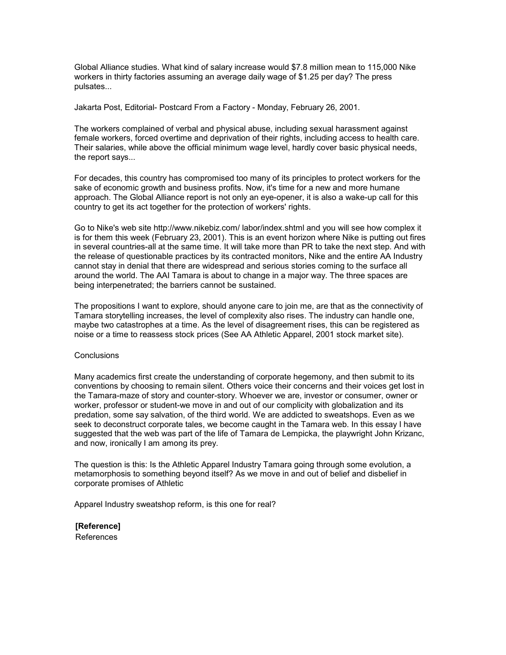Global Alliance studies. What kind of salary increase would \$7.8 million mean to 115,000 Nike workers in thirty factories assuming an average daily wage of \$1.25 per day? The press pulsates...

Jakarta Post, Editorial- Postcard From a Factory - Monday, February 26, 2001.

The workers complained of verbal and physical abuse, including sexual harassment against female workers, forced overtime and deprivation of their rights, including access to health care. Their salaries, while above the official minimum wage level, hardly cover basic physical needs, the report says...

For decades, this country has compromised too many of its principles to protect workers for the sake of economic growth and business profits. Now, it's time for a new and more humane approach. The Global Alliance report is not only an eye-opener, it is also a wake-up call for this country to get its act together for the protection of workers' rights.

Go to Nike's web site http://www.nikebiz.com/ labor/index.shtml and you will see how complex it is for them this week (February 23, 2001). This is an event horizon where Nike is putting out fires in several countries-all at the same time. It will take more than PR to take the next step. And with the release of questionable practices by its contracted monitors, Nike and the entire AA Industry cannot stay in denial that there are widespread and serious stories coming to the surface all around the world. The AAI Tamara is about to change in a major way. The three spaces are being interpenetrated; the barriers cannot be sustained.

The propositions I want to explore, should anyone care to join me, are that as the connectivity of Tamara storytelling increases, the level of complexity also rises. The industry can handle one, maybe two catastrophes at a time. As the level of disagreement rises, this can be registered as noise or a time to reassess stock prices (See AA Athletic Apparel, 2001 stock market site).

#### **Conclusions**

Many academics first create the understanding of corporate hegemony, and then submit to its conventions by choosing to remain silent. Others voice their concerns and their voices get lost in the Tamara-maze of story and counter-story. Whoever we are, investor or consumer, owner or worker, professor or student-we move in and out of our complicity with globalization and its predation, some say salvation, of the third world. We are addicted to sweatshops. Even as we seek to deconstruct corporate tales, we become caught in the Tamara web. In this essay I have suggested that the web was part of the life of Tamara de Lempicka, the playwright John Krizanc, and now, ironically I am among its prey.

The question is this: Is the Athletic Apparel Industry Tamara going through some evolution, a metamorphosis to something beyond itself? As we move in and out of belief and disbelief in corporate promises of Athletic

Apparel Industry sweatshop reform, is this one for real?

**[Reference]** References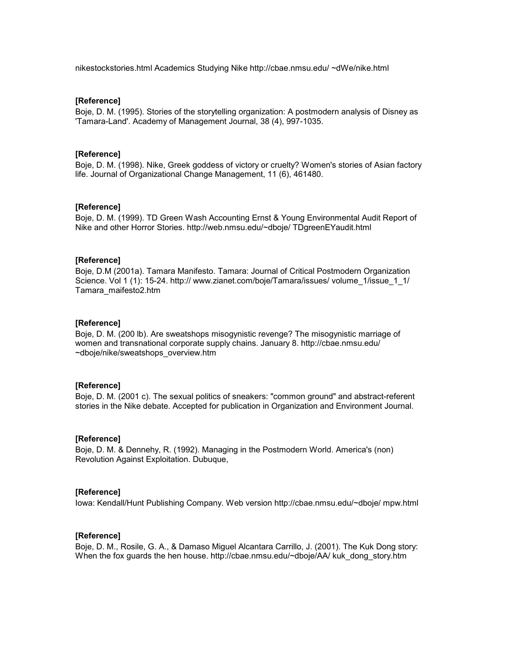nikestockstories.html Academics Studying Nike http://cbae.nmsu.edu/ ~dWe/nike.html

# **[Reference]**

Boje, D. M. (1995). Stories of the storytelling organization: A postmodern analysis of Disney as 'Tamara-Land'. Academy of Management Journal, 38 (4), 997-1035.

# **[Reference]**

Boje, D. M. (1998). Nike, Greek goddess of victory or cruelty? Women's stories of Asian factory life. Journal of Organizational Change Management, 11 (6), 461480.

#### **[Reference]**

Boje, D. M. (1999). TD Green Wash Accounting Ernst & Young Environmental Audit Report of Nike and other Horror Stories. http://web.nmsu.edu/~dboje/ TDgreenEYaudit.html

# **[Reference]**

Boje, D.M (2001a). Tamara Manifesto. Tamara: Journal of Critical Postmodern Organization Science. Vol 1 (1): 15-24. http:// www.zianet.com/boje/Tamara/issues/ volume\_1/issue\_1\_1/ Tamara\_maifesto2.htm

# **[Reference]**

Boje, D. M. (200 lb). Are sweatshops misogynistic revenge? The misogynistic marriage of women and transnational corporate supply chains. January 8. http://cbae.nmsu.edu/ ~dboje/nike/sweatshops\_overview.htm

# **[Reference]**

Boje, D. M. (2001 c). The sexual politics of sneakers: "common ground" and abstract-referent stories in the Nike debate. Accepted for publication in Organization and Environment Journal.

#### **[Reference]**

Boje, D. M. & Dennehy, R. (1992). Managing in the Postmodern World. America's (non) Revolution Against Exploitation. Dubuque,

#### **[Reference]**

Iowa: Kendall/Hunt Publishing Company. Web version http://cbae.nmsu.edu/~dboje/ mpw.html

#### **[Reference]**

Boje, D. M., Rosile, G. A., & Damaso Miguel Alcantara Carrillo, J. (2001). The Kuk Dong story: When the fox guards the hen house. http://cbae.nmsu.edu/~dboje/AA/ kuk\_dong\_story.htm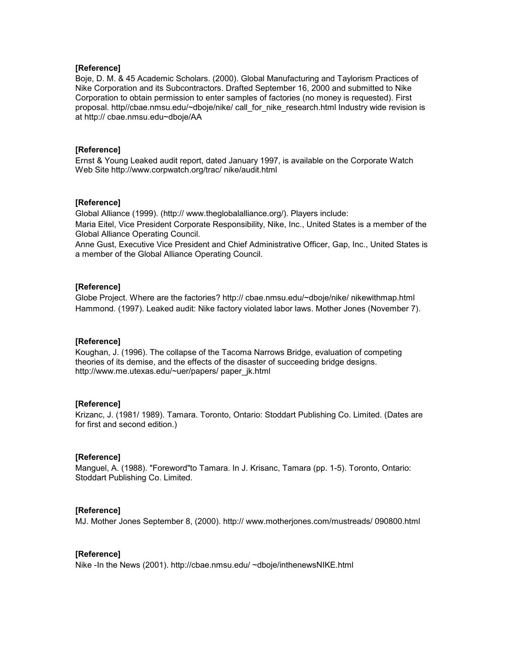# **[Reference]**

Boje, D. M. & 45 Academic Scholars. (2000). Global Manufacturing and Taylorism Practices of Nike Corporation and its Subcontractors. Drafted September 16, 2000 and submitted to Nike Corporation to obtain permission to enter samples of factories (no money is requested). First proposal. http//cbae.nmsu.edu/~dboje/nike/ call\_for\_nike\_research.html Industry wide revision is at http:// cbae.nmsu.edu~dboje/AA

# **[Reference]**

Ernst & Young Leaked audit report, dated January 1997, is available on the Corporate Watch Web Site http://www.corpwatch.org/trac/ nike/audit.html

# **[Reference]**

Global Alliance (1999). (http:// www.theglobalalliance.org/). Players include: Maria Eitel, Vice President Corporate Responsibility, Nike, Inc., United States is a member of the Global Alliance Operating Council.

Anne Gust, Executive Vice President and Chief Administrative Officer, Gap, Inc., United States is a member of the Global Alliance Operating Council.

# **[Reference]**

Globe Project. Where are the factories? http:// cbae.nmsu.edu/~dboje/nike/ nikewithmap.html Hammond. (1997). Leaked audit: Nike factory violated labor laws. Mother Jones (November 7).

# **[Reference]**

Koughan, J. (1996). The collapse of the Tacoma Narrows Bridge, evaluation of competing theories of its demise, and the effects of the disaster of succeeding bridge designs. http://www.me.utexas.edu/~uer/papers/ paper\_jk.html

# **[Reference]**

Krizanc, J. (1981/ 1989). Tamara. Toronto, Ontario: Stoddart Publishing Co. Limited. (Dates are for first and second edition.)

#### **[Reference]**

Manguel, A. (1988). "Foreword"to Tamara. In J. Krisanc, Tamara (pp. 1-5). Toronto, Ontario: Stoddart Publishing Co. Limited.

#### **[Reference]**

MJ. Mother Jones September 8, (2000). http:// www.motherjones.com/mustreads/ 090800.html

## **[Reference]**

Nike -In the News (2001). http://cbae.nmsu.edu/ ~dboje/inthenewsNIKE.html